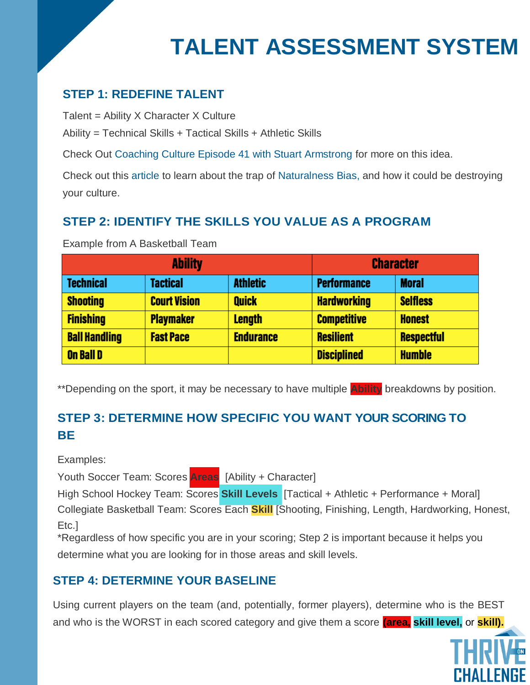# **TALENT ASSESSMENT SYSTEM**

#### **STEP 1: REDEFINE TALENT**

Talent = Ability X Character X Culture

Ability = Technical Skills + Tactical Skills + Athletic Skills

Check Out [Coaching Culture Episode 41 with Stuart Armstrong f](https://itunes.apple.com/us/podcast/episode-41-what-is-talent-how-to-develop-it-stuart/id1286560192?i=1000415062500&mt=2)or more on this idea.

Check out this [article](https://thriveonchallenge.com/how-to-avoid-the-trap-of-the-naturalness-bias/) to learn about the trap of [Naturalness Bias,](https://thriveonchallenge.com/how-to-avoid-the-trap-of-the-naturalness-bias/) and how it could be destroying your culture.

### **STEP 2: IDENTIFY THE SKILLS YOU VALUE AS A PROGRAM**

Example from A Basketball Team

| <b>Ability</b>       |                     |                  | <b>Character</b>   |                   |
|----------------------|---------------------|------------------|--------------------|-------------------|
| <b>Technical</b>     | <b>Tactical</b>     | <b>Athletic</b>  | <b>Performance</b> | <b>Moral</b>      |
| <b>Shooting</b>      | <b>Court Vision</b> | <b>Quick</b>     | <b>Hardworking</b> | <b>Selfless</b>   |
| <b>Finishing</b>     | <b>Playmaker</b>    | <b>Length</b>    | <b>Competitive</b> | <b>Honest</b>     |
| <b>Ball Handling</b> | <b>Fast Pace</b>    | <b>Endurance</b> | <b>Resilient</b>   | <b>Respectful</b> |
| <b>On Ball D</b>     |                     |                  | <b>Disciplined</b> | <b>Humble</b>     |

\*\*Depending on the sport, it may be necessary to have multiple **Ability** breakdowns by position.

### **STEP 3: DETERMINE HOW SPECIFIC YOU WANT YOUR SCORING TO BE**

Examples:

Youth Soccer Team: Scores **Areas** [Ability + Character]

High School Hockey Team: Scores **Skill Levels** [Tactical + Athletic + Performance + Moral] Collegiate Basketball Team: Scores Each **Skill** [Shooting, Finishing, Length, Hardworking, Honest, Etc.]

 \*Regardless of how specific you are in your scoring; Step 2 is important because it helps you determine what you are looking for in those areas and skill levels.

#### **STEP 4: DETERMINE YOUR BASELINE**

Using current players on the team (and, potentially, former players), determine who is the BEST and who is the WORST in each scored category and give them a score **(area, skill level,** or **skill).**

ΓHΔI I FNGF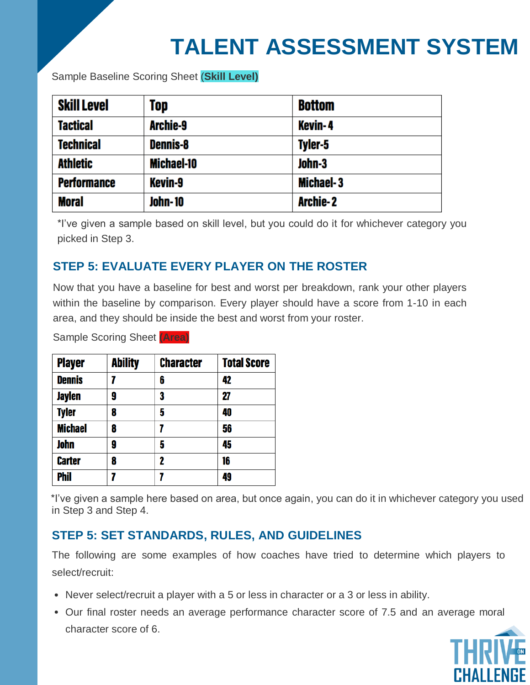## **TALENT ASSESSMENT SYSTEM**

Sample Baseline Scoring Sheet (**Skill Level)**

| <b>Skill Level</b> | Top             | <b>Bottom</b>    |
|--------------------|-----------------|------------------|
| <b>Tactical</b>    | Archie-9        | <b>Kevin-4</b>   |
| <b>Technical</b>   | <b>Dennis-8</b> | Tyler-5          |
| <b>Athletic</b>    | Michael-10      | John-3           |
| <b>Performance</b> | <b>Kevin-9</b>  | <b>Michael-3</b> |
| <b>Moral</b>       | <b>John-10</b>  | <b>Archie-2</b>  |

\*I've given a sample based on skill level, but you could do it for whichever category you picked in Step 3.

#### **STEP 5: EVALUATE EVERY PLAYER ON THE ROSTER**

Now that you have a baseline for best and worst per breakdown, rank your other players within the baseline by comparison. Every player should have a score from 1-10 in each area, and they should be inside the best and worst from your roster.

Sample Scoring Sheet **(Area)**

| <b>Player</b>  | <b>Ability</b> | <b>Character</b> | <b>Total Score</b> |
|----------------|----------------|------------------|--------------------|
| <b>Dennis</b>  | 7              | 6                | 42                 |
| <b>Jaylen</b>  | 9              | 3                | 27                 |
| <b>Tyler</b>   | 8              | 5                | 40                 |
| <b>Michael</b> | 8              | 7                | 56                 |
| <b>John</b>    | 9              | 5                | 45                 |
| <b>Carter</b>  | 8              | 2                | 16                 |
| <b>Phil</b>    | 7              | 7                | 49                 |

\*I've given a sample here based on area, but once again, you can do it in whichever category you used in Step 3 and Step 4.

#### **STEP 5: SET STANDARDS, RULES, AND GUIDELINES**

The following are some examples of how coaches have tried to determine which players to select/recruit:

- Never select/recruit a player with a 5 or less in character or a 3 or less in ability.
- Our final roster needs an average performance character score of 7.5 and an average moral character score of 6.